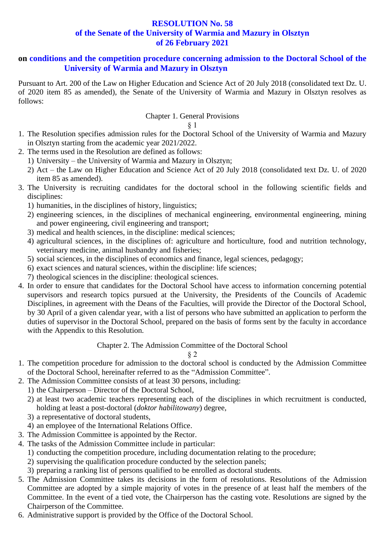# **RESOLUTION No. 58 of the Senate of the University of Warmia and Mazury in Olsztyn of 26 February 2021**

# **on conditions and the competition procedure concerning admission to the Doctoral School of the University of Warmia and Mazury in Olsztyn**

Pursuant to Art. 200 of the Law on Higher Education and Science Act of 20 July 2018 (consolidated text Dz. U. of 2020 item 85 as amended), the Senate of the University of Warmia and Mazury in Olsztyn resolves as follows:

# Chapter 1. General Provisions

## § 1

- 1. The Resolution specifies admission rules for the Doctoral School of the University of Warmia and Mazury in Olsztyn starting from the academic year 2021/2022.
- 2. The terms used in the Resolution are defined as follows:
	- 1) University the University of Warmia and Mazury in Olsztyn;
	- 2) Act the Law on Higher Education and Science Act of 20 July 2018 (consolidated text Dz. U. of 2020 item 85 as amended).
- 3. The University is recruiting candidates for the doctoral school in the following scientific fields and disciplines:
	- 1) humanities, in the disciplines of history, linguistics;
	- 2) engineering sciences, in the disciplines of mechanical engineering, environmental engineering, mining and power engineering, civil engineering and transport;
	- 3) medical and health sciences, in the discipline: medical sciences;
	- 4) agricultural sciences, in the disciplines of: agriculture and horticulture, food and nutrition technology, veterinary medicine, animal husbandry and fisheries;
	- 5) social sciences, in the disciplines of economics and finance, legal sciences, pedagogy;
	- 6) exact sciences and natural sciences, within the discipline: life sciences;
	- 7) theological sciences in the discipline: theological sciences.
- 4. In order to ensure that candidates for the Doctoral School have access to information concerning potential supervisors and research topics pursued at the University, the Presidents of the Councils of Academic Disciplines, in agreement with the Deans of the Faculties, will provide the Director of the Doctoral School, by 30 April of a given calendar year, with a list of persons who have submitted an application to perform the duties of supervisor in the Doctoral School, prepared on the basis of forms sent by the faculty in accordance with the Appendix to this Resolution.

# Chapter 2. The Admission Committee of the Doctoral School

- 1. The competition procedure for admission to the doctoral school is conducted by the Admission Committee of the Doctoral School, hereinafter referred to as the "Admission Committee".
- 2. The Admission Committee consists of at least 30 persons, including:
	- 1) the Chairperson Director of the Doctoral School,
	- 2) at least two academic teachers representing each of the disciplines in which recruitment is conducted, holding at least a post-doctoral (*doktor habilitowany*) degree,
	- 3) a representative of doctoral students,
	- 4) an employee of the International Relations Office.
- 3. The Admission Committee is appointed by the Rector.
- 4. The tasks of the Admission Committee include in particular:
	- 1) conducting the competition procedure, including documentation relating to the procedure;
	- 2) supervising the qualification procedure conducted by the selection panels;
	- 3) preparing a ranking list of persons qualified to be enrolled as doctoral students.
- 5. The Admission Committee takes its decisions in the form of resolutions. Resolutions of the Admission Committee are adopted by a simple majority of votes in the presence of at least half the members of the Committee. In the event of a tied vote, the Chairperson has the casting vote. Resolutions are signed by the Chairperson of the Committee.
- 6. Administrative support is provided by the Office of the Doctoral School.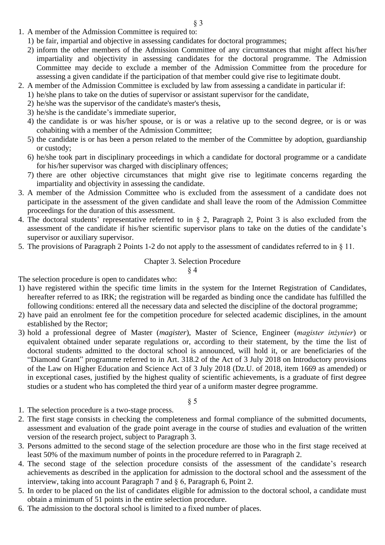- 1. A member of the Admission Committee is required to:
	- 1) be fair, impartial and objective in assessing candidates for doctoral programmes;
	- 2) inform the other members of the Admission Committee of any circumstances that might affect his/her impartiality and objectivity in assessing candidates for the doctoral programme. The Admission Committee may decide to exclude a member of the Admission Committee from the procedure for assessing a given candidate if the participation of that member could give rise to legitimate doubt.
- 2. A member of the Admission Committee is excluded by law from assessing a candidate in particular if:
	- 1) he/she plans to take on the duties of supervisor or assistant supervisor for the candidate,
	- 2) he/she was the supervisor of the candidate's master's thesis,
	- 3) he/she is the candidate's immediate superior,
	- 4) the candidate is or was his/her spouse, or is or was a relative up to the second degree, or is or was cohabiting with a member of the Admission Committee;
	- 5) the candidate is or has been a person related to the member of the Committee by adoption, guardianship or custody;
	- 6) he/she took part in disciplinary proceedings in which a candidate for doctoral programme or a candidate for his/her supervisor was charged with disciplinary offences;
	- 7) there are other objective circumstances that might give rise to legitimate concerns regarding the impartiality and objectivity in assessing the candidate.
- 3. A member of the Admission Committee who is excluded from the assessment of a candidate does not participate in the assessment of the given candidate and shall leave the room of the Admission Committee proceedings for the duration of this assessment.
- 4. The doctoral students' representative referred to in § 2, Paragraph 2, Point 3 is also excluded from the assessment of the candidate if his/her scientific supervisor plans to take on the duties of the candidate's supervisor or auxiliary supervisor.
- 5. The provisions of Paragraph 2 Points 1-2 do not apply to the assessment of candidates referred to in § 11.

# Chapter 3. Selection Procedure

§ 4

The selection procedure is open to candidates who:

- 1) have registered within the specific time limits in the system for the Internet Registration of Candidates, hereafter referred to as IRK; the registration will be regarded as binding once the candidate has fulfilled the following conditions: entered all the necessary data and selected the discipline of the doctoral programme;
- 2) have paid an enrolment fee for the competition procedure for selected academic disciplines, in the amount established by the Rector;
- 3) hold a professional degree of Master (*magister*), Master of Science, Engineer (*magister inżynier*) or equivalent obtained under separate regulations or, according to their statement, by the time the list of doctoral students admitted to the doctoral school is announced, will hold it, or are beneficiaries of the "Diamond Grant" programme referred to in Art. 318.2 of the Act of 3 July 2018 on Introductory provisions of the Law on Higher Education and Science Act of 3 July 2018 (Dz.U. of 2018, item 1669 as amended) or in exceptional cases, justified by the highest quality of scientific achievements, is a graduate of first degree studies or a student who has completed the third year of a uniform master degree programme.
	- § 5
- 1. The selection procedure is a two-stage process.
- 2. The first stage consists in checking the completeness and formal compliance of the submitted documents, assessment and evaluation of the grade point average in the course of studies and evaluation of the written version of the research project, subject to Paragraph 3.
- 3. Persons admitted to the second stage of the selection procedure are those who in the first stage received at least 50% of the maximum number of points in the procedure referred to in Paragraph 2.
- 4. The second stage of the selection procedure consists of the assessment of the candidate's research achievements as described in the application for admission to the doctoral school and the assessment of the interview, taking into account Paragraph 7 and § 6, Paragraph 6, Point 2.
- 5. In order to be placed on the list of candidates eligible for admission to the doctoral school, a candidate must obtain a minimum of 51 points in the entire selection procedure.
- 6. The admission to the doctoral school is limited to a fixed number of places.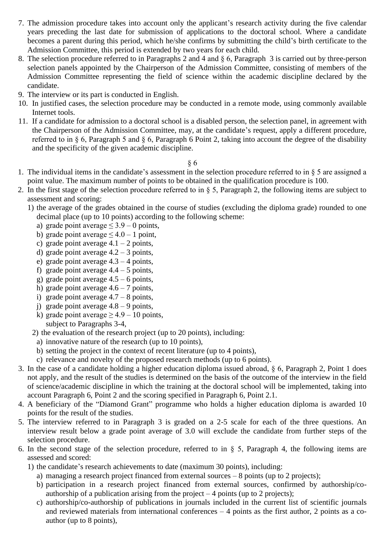- 7. The admission procedure takes into account only the applicant's research activity during the five calendar years preceding the last date for submission of applications to the doctoral school. Where a candidate becomes a parent during this period, which he/she confirms by submitting the child's birth certificate to the Admission Committee, this period is extended by two years for each child.
- 8. The selection procedure referred to in Paragraphs 2 and 4 and § 6, Paragraph 3 is carried out by three-person selection panels appointed by the Chairperson of the Admission Committee, consisting of members of the Admission Committee representing the field of science within the academic discipline declared by the candidate.
- 9. The interview or its part is conducted in English.
- 10. In justified cases, the selection procedure may be conducted in a remote mode, using commonly available Internet tools.
- 11. If a candidate for admission to a doctoral school is a disabled person, the selection panel, in agreement with the Chairperson of the Admission Committee, may, at the candidate's request, apply a different procedure, referred to in § 6, Paragraph 5 and § 6, Paragraph 6 Point 2, taking into account the degree of the disability and the specificity of the given academic discipline.

- 1. The individual items in the candidate's assessment in the selection procedure referred to in § 5 are assigned a point value. The maximum number of points to be obtained in the qualification procedure is 100.
- 2. In the first stage of the selection procedure referred to in  $\S$  5, Paragraph 2, the following items are subject to assessment and scoring:
	- 1) the average of the grades obtained in the course of studies (excluding the diploma grade) rounded to one decimal place (up to 10 points) according to the following scheme:
		- a) grade point average  $\leq 3.9 0$  points,
		- b) grade point average  $\leq 4.0 1$  point,
		- c) grade point average  $4.1 2$  points,
		- d) grade point average  $4.2 3$  points,
		- e) grade point average 4.3 4 points,
		- f) grade point average  $4.4 5$  points,
		- g) grade point average  $4.5 6$  points,
		- h) grade point average  $4.6 7$  points,
		- i) grade point average  $4.7 8$  points,
		- j) grade point average  $4.8 9$  points,
		- k) grade point average  $\geq$  4.9 10 points,
		- subject to Paragraphs 3-4,
		- 2) the evaluation of the research project (up to 20 points), including:
			- a) innovative nature of the research (up to 10 points),
			- b) setting the project in the context of recent literature (up to 4 points),
		- c) relevance and novelty of the proposed research methods (up to 6 points).
- 3. In the case of a candidate holding a higher education diploma issued abroad, § 6, Paragraph 2, Point 1 does not apply, and the result of the studies is determined on the basis of the outcome of the interview in the field of science/academic discipline in which the training at the doctoral school will be implemented, taking into account Paragraph 6, Point 2 and the scoring specified in Paragraph 6, Point 2.1.
- 4. A beneficiary of the "Diamond Grant" programme who holds a higher education diploma is awarded 10 points for the result of the studies.
- 5. The interview referred to in Paragraph 3 is graded on a 2-5 scale for each of the three questions. An interview result below a grade point average of 3.0 will exclude the candidate from further steps of the selection procedure.
- 6. In the second stage of the selection procedure, referred to in  $\S$  5, Paragraph 4, the following items are assessed and scored:
	- 1) the candidate's research achievements to date (maximum 30 points), including:
		- a) managing a research project financed from external sources 8 points (up to 2 projects);
		- b) participation in a research project financed from external sources, confirmed by authorship/coauthorship of a publication arising from the project  $-4$  points (up to 2 projects);
		- c) authorship/co-authorship of publications in journals included in the current list of scientific journals and reviewed materials from international conferences – 4 points as the first author, 2 points as a coauthor (up to 8 points),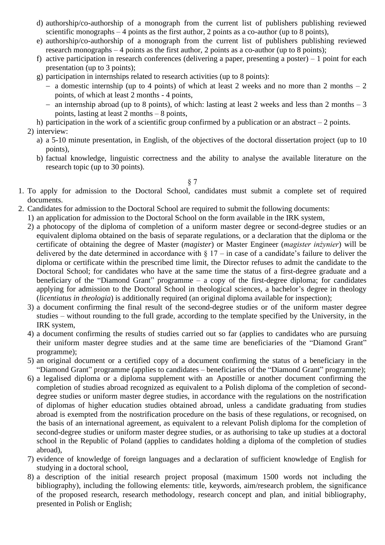- d) authorship/co-authorship of a monograph from the current list of publishers publishing reviewed scientific monographs – 4 points as the first author, 2 points as a co-author (up to 8 points),
- e) authorship/co-authorship of a monograph from the current list of publishers publishing reviewed research monographs – 4 points as the first author, 2 points as a co-author (up to 8 points);
- f) active participation in research conferences (delivering a paper, presenting a poster) 1 point for each presentation (up to 3 points);
- g) participation in internships related to research activities (up to 8 points):
	- − a domestic internship (up to 4 points) of which at least 2 weeks and no more than 2 months 2 points, of which at least 2 months - 4 points,
	- − an internship abroad (up to 8 points), of which: lasting at least 2 weeks and less than 2 months 3 points, lasting at least 2 months – 8 points,
- h) participation in the work of a scientific group confirmed by a publication or an abstract  $-2$  points.
- 2) interview:
	- a) a 5-10 minute presentation, in English, of the objectives of the doctoral dissertation project (up to 10 points),
	- b) factual knowledge, linguistic correctness and the ability to analyse the available literature on the research topic (up to 30 points).

- 1. To apply for admission to the Doctoral School, candidates must submit a complete set of required documents.
- 2. Candidates for admission to the Doctoral School are required to submit the following documents:
	- 1) an application for admission to the Doctoral School on the form available in the IRK system,
	- 2) a photocopy of the diploma of completion of a uniform master degree or second-degree studies or an equivalent diploma obtained on the basis of separate regulations, or a declaration that the diploma or the certificate of obtaining the degree of Master (*magister*) or Master Engineer (*magister inżynier*) will be delivered by the date determined in accordance with  $\S 17 - in$  case of a candidate's failure to deliver the diploma or certificate within the prescribed time limit, the Director refuses to admit the candidate to the Doctoral School; for candidates who have at the same time the status of a first-degree graduate and a beneficiary of the "Diamond Grant" programme – a copy of the first-degree diploma; for candidates applying for admission to the Doctoral School in theological sciences, a bachelor's degree in theology (*licentiatus in theologia*) is additionally required (an original diploma available for inspection);
	- 3) a document confirming the final result of the second-degree studies or of the uniform master degree studies – without rounding to the full grade, according to the template specified by the University, in the IRK system,
	- 4) a document confirming the results of studies carried out so far (applies to candidates who are pursuing their uniform master degree studies and at the same time are beneficiaries of the "Diamond Grant" programme);
	- 5) an original document or a certified copy of a document confirming the status of a beneficiary in the "Diamond Grant" programme (applies to candidates – beneficiaries of the "Diamond Grant" programme);
	- 6) a legalised diploma or a diploma supplement with an Apostille or another document confirming the completion of studies abroad recognized as equivalent to a Polish diploma of the completion of seconddegree studies or uniform master degree studies, in accordance with the regulations on the nostrification of diplomas of higher education studies obtained abroad, unless a candidate graduating from studies abroad is exempted from the nostrification procedure on the basis of these regulations, or recognised, on the basis of an international agreement, as equivalent to a relevant Polish diploma for the completion of second-degree studies or uniform master degree studies, or as authorising to take up studies at a doctoral school in the Republic of Poland (applies to candidates holding a diploma of the completion of studies abroad),
	- 7) evidence of knowledge of foreign languages and a declaration of sufficient knowledge of English for studying in a doctoral school,
	- 8) a description of the initial research project proposal (maximum 1500 words not including the bibliography), including the following elements: title, keywords, aim/research problem, the significance of the proposed research, research methodology, research concept and plan, and initial bibliography, presented in Polish or English;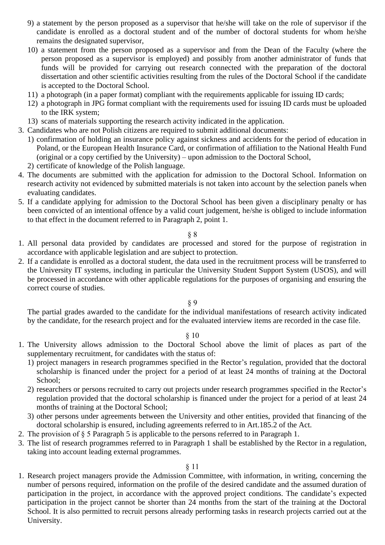- 9) a statement by the person proposed as a supervisor that he/she will take on the role of supervisor if the candidate is enrolled as a doctoral student and of the number of doctoral students for whom he/she remains the designated supervisor,
- 10) a statement from the person proposed as a supervisor and from the Dean of the Faculty (where the person proposed as a supervisor is employed) and possibly from another administrator of funds that funds will be provided for carrying out research connected with the preparation of the doctoral dissertation and other scientific activities resulting from the rules of the Doctoral School if the candidate is accepted to the Doctoral School.
- 11) a photograph (in a paper format) compliant with the requirements applicable for issuing ID cards;
- 12) a photograph in JPG format compliant with the requirements used for issuing ID cards must be uploaded to the IRK system;
- 13) scans of materials supporting the research activity indicated in the application.
- 3. Candidates who are not Polish citizens are required to submit additional documents:
	- 1) confirmation of holding an insurance policy against sickness and accidents for the period of education in Poland, or the European Health Insurance Card, or confirmation of affiliation to the National Health Fund (original or a copy certified by the University) – upon admission to the Doctoral School,
	- 2) certificate of knowledge of the Polish language.
- 4. The documents are submitted with the application for admission to the Doctoral School. Information on research activity not evidenced by submitted materials is not taken into account by the selection panels when evaluating candidates.
- 5. If a candidate applying for admission to the Doctoral School has been given a disciplinary penalty or has been convicted of an intentional offence by a valid court judgement, he/she is obliged to include information to that effect in the document referred to in Paragraph 2, point 1.

- 1. All personal data provided by candidates are processed and stored for the purpose of registration in accordance with applicable legislation and are subject to protection.
- 2. If a candidate is enrolled as a doctoral student, the data used in the recruitment process will be transferred to the University IT systems, including in particular the University Student Support System (USOS), and will be processed in accordance with other applicable regulations for the purposes of organising and ensuring the correct course of studies.

## § 9

The partial grades awarded to the candidate for the individual manifestations of research activity indicated by the candidate, for the research project and for the evaluated interview items are recorded in the case file.

## § 10

- 1. The University allows admission to the Doctoral School above the limit of places as part of the supplementary recruitment, for candidates with the status of:
	- 1) project managers in research programmes specified in the Rector's regulation, provided that the doctoral scholarship is financed under the project for a period of at least 24 months of training at the Doctoral School;
	- 2) researchers or persons recruited to carry out projects under research programmes specified in the Rector's regulation provided that the doctoral scholarship is financed under the project for a period of at least 24 months of training at the Doctoral School;
	- 3) other persons under agreements between the University and other entities, provided that financing of the doctoral scholarship is ensured, including agreements referred to in Art.185.2 of the Act.
- 2. The provision of § 5 Paragraph 5 is applicable to the persons referred to in Paragraph 1.
- 3. The list of research programmes referred to in Paragraph 1 shall be established by the Rector in a regulation, taking into account leading external programmes.

## § 11

1. Research project managers provide the Admission Committee, with information, in writing, concerning the number of persons required, information on the profile of the desired candidate and the assumed duration of participation in the project, in accordance with the approved project conditions. The candidate's expected participation in the project cannot be shorter than 24 months from the start of the training at the Doctoral School. It is also permitted to recruit persons already performing tasks in research projects carried out at the University.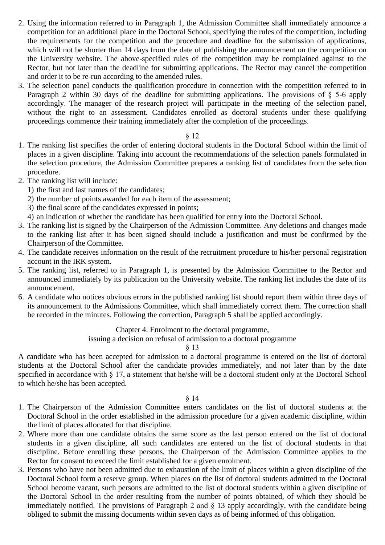- 2. Using the information referred to in Paragraph 1, the Admission Committee shall immediately announce a competition for an additional place in the Doctoral School, specifying the rules of the competition, including the requirements for the competition and the procedure and deadline for the submission of applications, which will not be shorter than 14 days from the date of publishing the announcement on the competition on the University website. The above-specified rules of the competition may be complained against to the Rector, but not later than the deadline for submitting applications. The Rector may cancel the competition and order it to be re-run according to the amended rules.
- 3. The selection panel conducts the qualification procedure in connection with the competition referred to in Paragraph 2 within 30 days of the deadline for submitting applications. The provisions of § 5-6 apply accordingly. The manager of the research project will participate in the meeting of the selection panel, without the right to an assessment. Candidates enrolled as doctoral students under these qualifying proceedings commence their training immediately after the completion of the proceedings.

- 1. The ranking list specifies the order of entering doctoral students in the Doctoral School within the limit of places in a given discipline. Taking into account the recommendations of the selection panels formulated in the selection procedure, the Admission Committee prepares a ranking list of candidates from the selection procedure.
- 2. The ranking list will include:
	- 1) the first and last names of the candidates;
	- 2) the number of points awarded for each item of the assessment;
	- 3) the final score of the candidates expressed in points;
	- 4) an indication of whether the candidate has been qualified for entry into the Doctoral School.
- 3. The ranking list is signed by the Chairperson of the Admission Committee. Any deletions and changes made to the ranking list after it has been signed should include a justification and must be confirmed by the Chairperson of the Committee.
- 4. The candidate receives information on the result of the recruitment procedure to his/her personal registration account in the IRK system.
- 5. The ranking list, referred to in Paragraph 1, is presented by the Admission Committee to the Rector and announced immediately by its publication on the University website. The ranking list includes the date of its announcement.
- 6. A candidate who notices obvious errors in the published ranking list should report them within three days of its announcement to the Admissions Committee, which shall immediately correct them. The correction shall be recorded in the minutes. Following the correction, Paragraph 5 shall be applied accordingly.

Chapter 4. Enrolment to the doctoral programme,

issuing a decision on refusal of admission to a doctoral programme

§ 13

A candidate who has been accepted for admission to a doctoral programme is entered on the list of doctoral students at the Doctoral School after the candidate provides immediately, and not later than by the date specified in accordance with § 17, a statement that he/she will be a doctoral student only at the Doctoral School to which he/she has been accepted.

- 1. The Chairperson of the Admission Committee enters candidates on the list of doctoral students at the Doctoral School in the order established in the admission procedure for a given academic discipline, within the limit of places allocated for that discipline.
- 2. Where more than one candidate obtains the same score as the last person entered on the list of doctoral students in a given discipline, all such candidates are entered on the list of doctoral students in that discipline. Before enrolling these persons, the Chairperson of the Admission Committee applies to the Rector for consent to exceed the limit established for a given enrolment.
- 3. Persons who have not been admitted due to exhaustion of the limit of places within a given discipline of the Doctoral School form a reserve group. When places on the list of doctoral students admitted to the Doctoral School become vacant, such persons are admitted to the list of doctoral students within a given discipline of the Doctoral School in the order resulting from the number of points obtained, of which they should be immediately notified. The provisions of Paragraph 2 and § 13 apply accordingly, with the candidate being obliged to submit the missing documents within seven days as of being informed of this obligation.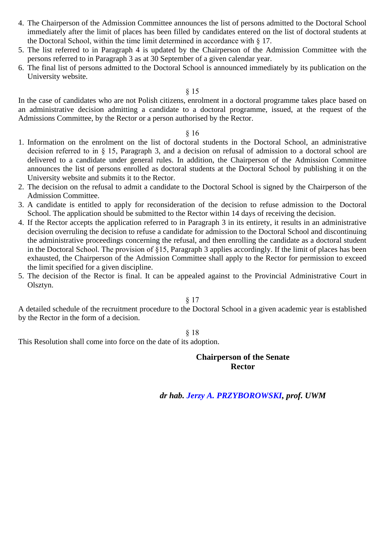- 4. The Chairperson of the Admission Committee announces the list of persons admitted to the Doctoral School immediately after the limit of places has been filled by candidates entered on the list of doctoral students at the Doctoral School, within the time limit determined in accordance with § 17.
- 5. The list referred to in Paragraph 4 is updated by the Chairperson of the Admission Committee with the persons referred to in Paragraph 3 as at 30 September of a given calendar year.
- 6. The final list of persons admitted to the Doctoral School is announced immediately by its publication on the University website.

In the case of candidates who are not Polish citizens, enrolment in a doctoral programme takes place based on an administrative decision admitting a candidate to a doctoral programme, issued, at the request of the Admissions Committee, by the Rector or a person authorised by the Rector.

## § 16

- 1. Information on the enrolment on the list of doctoral students in the Doctoral School, an administrative decision referred to in § 15, Paragraph 3, and a decision on refusal of admission to a doctoral school are delivered to a candidate under general rules. In addition, the Chairperson of the Admission Committee announces the list of persons enrolled as doctoral students at the Doctoral School by publishing it on the University website and submits it to the Rector.
- 2. The decision on the refusal to admit a candidate to the Doctoral School is signed by the Chairperson of the Admission Committee.
- 3. A candidate is entitled to apply for reconsideration of the decision to refuse admission to the Doctoral School. The application should be submitted to the Rector within 14 days of receiving the decision.
- 4. If the Rector accepts the application referred to in Paragraph 3 in its entirety, it results in an administrative decision overruling the decision to refuse a candidate for admission to the Doctoral School and discontinuing the administrative proceedings concerning the refusal, and then enrolling the candidate as a doctoral student in the Doctoral School. The provision of §15, Paragraph 3 applies accordingly. If the limit of places has been exhausted, the Chairperson of the Admission Committee shall apply to the Rector for permission to exceed the limit specified for a given discipline.
- 5. The decision of the Rector is final. It can be appealed against to the Provincial Administrative Court in Olsztyn.

## § 17

A detailed schedule of the recruitment procedure to the Doctoral School in a given academic year is established by the Rector in the form of a decision.

## § 18

This Resolution shall come into force on the date of its adoption.

# **Chairperson of the Senate Rector**

*dr hab. Jerzy A. PRZYBOROWSKI, prof. UWM*